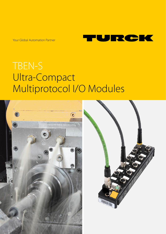Your Global Automation Partner



# TBEN-S Ultra-Compact Multiprotocol I/O Modules

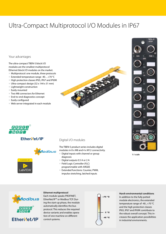## Ultra-Compact Multiprotocol I/O Modules in IP67

#### Your advantages

The ultra-compact TBEN-S block I/O modules are the smallest multiprotocol Ethernet block I/O modules on the market.

- Multiprotocol: one module, three protocols
- Extended temperature range -40...+70 °C
- High protection classes IP65, IP67 and IP69K
- Ultra-compact design (32 x 144 x 31 mm)
- Lightweight construction
- Easily mounted
- Two M8 connectors for Ethernet
- End-to-end diagnostics concept
- Easily configured
- Web server integrated in each module





### EtherNet/IP®





#### Digital I/O modules

The TBEN-S product series includes digital modules in 8 x M8 and 4 x M12 connectivity.

- Digital inputs with channel or group diagnosis
- Digital outputs 0.5 A or 2 A
- Field Logic Controller (FLC)
- programmable with ARGEE ■ Extended functions: Counter, PWM,
- impulse stretching, latched inputs









### **Ethernet multiprotocol** Each module speaks PROFINET,

EtherNet/IP™ or Modbus TCP. During the start-up phase, the module automatically identifies the bus protocol. This reduces the required device variants and enables operation of one machine on different control systems.



#### **Harsh environmental conditions** In addition to the fully potted module electronics, the extended temperature range of -40...+70 °C and the high protection classes IP65, IP67 and IP69K contribute to the robust overall concept. This increases the application possibilities in industrial environments.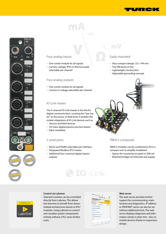







#### Four analog inputs

- One combi module for all signals
- Current, voltage, RTD or thermocouple selectable per channel

#### Four analog outputs

- One combi module for all signals
- Current or voltage selectable per channel

#### IO-Link master

The 4-channel IO-Link master is the link for digital communication, covering the "last meter" to the sensor or field level. It enables the simple integration of IO-Link devices such as

- Sensors and field devices
- I/O hubs (digital passive junction boxes)
- Valve manifolds

#### 2 serial ports

- RS232 and RS485 selectable per interface
- Integrated Modbus RTU master
- Additional four universal digital inputs/ outputs

#### Easily mounted

- Very compact design: 32 x 144 mm
- Two M4 bores in line
- Lightweight construction
- Adjustable grounding concept



#### TBEN-S composite

TBEN-S modules can be combined to form a compact unit to simplify installation

- Spacer for mounting on panel or DIN rail
- Matched bridges for Ethernet and supply



#### **Control via Labview**

Selected modules can be controlled directly from Labview. This allows test benches to benefit from decentralized architectures based on IP67 modules. Using Labview to control and visualize system components entirely without a PLC saves further costs.

|                                           | esse: Talakom.ne & Thus<br>192, 168, 1.38 | ۰.           |
|-------------------------------------------|-------------------------------------------|--------------|
| FEN20-4DIP-4DXP<br><b>Embedded Webste</b> |                                           | c.           |
| Password                                  | <b>Etegna</b>                             |              |
| Main Menu >                               |                                           |              |
| <-- Back                                  | <b>Main Henu</b>                          | Forward -- > |
| <b>Station Information</b>                |                                           | ٠            |
| <b>Station Diagnostics</b>                |                                           | š            |
| Event Log                                 |                                           | ś            |
| <b>Ethernet Statistics</b>                |                                           | 5            |
| Ethernet/IP Hemory Hap                    | 5                                         |              |
|                                           | ś                                         |              |
| <b>Hodbus Hemory Map</b>                  |                                           | ٠            |
| Links                                     |                                           |              |
|                                           |                                           | 山田           |

**IO-Link** 

#### **Web server**

The web server provides further support for commissioning, maintenance and diagnostics. IP address or PROFINET name can also be set without additional tools. The web server displays diagnoses and information clearly in plain text - also on mobile devices thanks to responsive design.